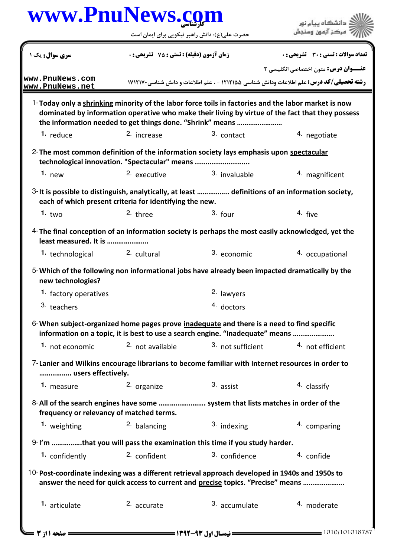|                                    | www.PnuNews.com<br>حضرت علی(ع): دانش راهبر نیکویی برای ایمان است                                                                                                                                                                                                     |                   | دانشگاه پیام نور<br>مركز آزمون وسنجش         |  |
|------------------------------------|----------------------------------------------------------------------------------------------------------------------------------------------------------------------------------------------------------------------------------------------------------------------|-------------------|----------------------------------------------|--|
| سری سوال: یک ۱                     | زمان آزمون (دقیقه) : تستی : 75 ٪ تشریحی : 0                                                                                                                                                                                                                          |                   | <b>تعداد سوالات : تستي : 30 ٪ تشريحي : 0</b> |  |
|                                    |                                                                                                                                                                                                                                                                      |                   | <b>عنـــوان درس:</b> متون اختصاصي انگليسي ٢  |  |
| www.PnuNews.com<br>www.PnuNews.net | <b>رشته تحصیلی/کد درس:</b> علم اطلاعات ودانش شناسی ۱۲۱۲۱۵۵ - ، علم اطلاعات و دانش شناسی21۲۱۷۰                                                                                                                                                                        |                   |                                              |  |
|                                    | 1-Today only a shrinking minority of the labor force toils in factories and the labor market is now<br>dominated by information operative who make their living by virtue of the fact that they possess<br>the information needed to get things done. "Shrink" means |                   |                                              |  |
| 1. reduce                          | 2. increase                                                                                                                                                                                                                                                          | $3.$ contact      | 4. negotiate                                 |  |
|                                    | 2-The most common definition of the information society lays emphasis upon spectacular<br>technological innovation. "Spectacular" means                                                                                                                              |                   |                                              |  |
| 1. $new$                           | 2. executive                                                                                                                                                                                                                                                         | 3. invaluable     | 4. magnificent                               |  |
|                                    | 3-It is possible to distinguish, analytically, at least  definitions of an information society,<br>each of which present criteria for identifying the new.                                                                                                           |                   |                                              |  |
| 1. $two$                           | $2.$ three                                                                                                                                                                                                                                                           | $3.$ four         | 4. five                                      |  |
| least measured. It is              | 4-The final conception of an information society is perhaps the most easily acknowledged, yet the                                                                                                                                                                    |                   |                                              |  |
| 1. technological                   | 2. cultural                                                                                                                                                                                                                                                          | 3. economic       | 4. occupational                              |  |
| new technologies?                  | 5-Which of the following non informational jobs have already been impacted dramatically by the                                                                                                                                                                       |                   |                                              |  |
| 1. factory operatives              |                                                                                                                                                                                                                                                                      | 2. lawyers        |                                              |  |
| 3. teachers                        |                                                                                                                                                                                                                                                                      | 4. doctors        |                                              |  |
|                                    | 6-When subject-organized home pages prove inadequate and there is a need to find specific<br>information on a topic, it is best to use a search engine. "Inadequate" means                                                                                           |                   |                                              |  |
| 1. not economic                    | 2. not available                                                                                                                                                                                                                                                     | 3. not sufficient | 4. not efficient                             |  |
| users effectively.                 | 7-Lanier and Wilkins encourage librarians to become familiar with Internet resources in order to                                                                                                                                                                     |                   |                                              |  |
| 1. measure                         | 2. organize                                                                                                                                                                                                                                                          | 3. assist         | 4. classify                                  |  |
|                                    | 8-All of the search engines have some  system that lists matches in order of the<br>frequency or relevancy of matched terms.                                                                                                                                         |                   |                                              |  |
|                                    | 2. balancing                                                                                                                                                                                                                                                         | 3. indexing       | 4. comparing                                 |  |
| 1. weighting                       |                                                                                                                                                                                                                                                                      |                   |                                              |  |
|                                    |                                                                                                                                                                                                                                                                      |                   |                                              |  |
| 1. confidently                     | 9-I'm that you will pass the examination this time if you study harder.<br>2. confident                                                                                                                                                                              | 3. confidence     | 4. confide                                   |  |
|                                    | 10-Post-coordinate indexing was a different retrieval approach developed in 1940s and 1950s to<br>answer the need for quick access to current and precise topics. "Precise" means                                                                                    |                   |                                              |  |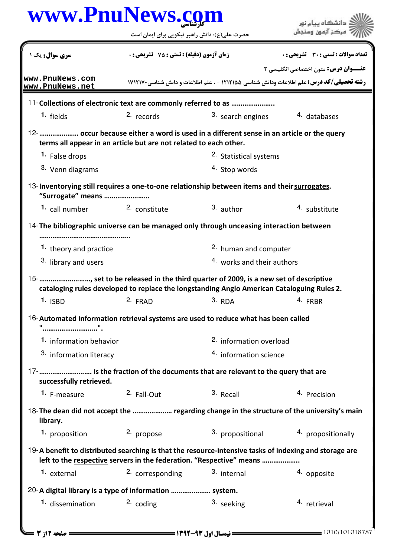|                                                                                                                                                                                                                                                                   | حضرت علی(ع): دانش راهبر نیکویی برای ایمان است      |                                                                                                                              | دانشگاه پیام نور<br>مركز آزمون وسنجش        |  |
|-------------------------------------------------------------------------------------------------------------------------------------------------------------------------------------------------------------------------------------------------------------------|----------------------------------------------------|------------------------------------------------------------------------------------------------------------------------------|---------------------------------------------|--|
| <b>سری سوال :</b> یک ۱                                                                                                                                                                                                                                            | <b>زمان آزمون (دقیقه) : تستی : 75 ٪ تشریحی : 0</b> |                                                                                                                              | تعداد سوالات : تستى : 30 ٪ تشريحي : 0       |  |
|                                                                                                                                                                                                                                                                   |                                                    |                                                                                                                              | <b>عنـــوان درس:</b> متون اختصاصي انگليسي ٢ |  |
| www.PnuNews.com<br>www.PnuNews.net                                                                                                                                                                                                                                |                                                    | <b>رشته تحصیلی/کد درس:</b> علم اطلاعات ودانش شناسی ۱۲۱۲۱۵۵ - ، علم اطلاعات و دانش شناسی ۱۷۱۲۱۷۰                              |                                             |  |
| 11-Collections of electronic text are commonly referred to as                                                                                                                                                                                                     |                                                    |                                                                                                                              |                                             |  |
| 1. fields                                                                                                                                                                                                                                                         | $2.$ records                                       | 3. search engines                                                                                                            | 4. databases                                |  |
| 12-      occur because either a word is used in a different sense in an article or the query<br>terms all appear in an article but are not related to each other.                                                                                                 |                                                    |                                                                                                                              |                                             |  |
| 1. False drops                                                                                                                                                                                                                                                    |                                                    | 2. Statistical systems                                                                                                       |                                             |  |
| 3. Venn diagrams                                                                                                                                                                                                                                                  |                                                    | 4. Stop words                                                                                                                |                                             |  |
| 13-Inventorying still requires a one-to-one relationship between items and their surrogates.                                                                                                                                                                      |                                                    |                                                                                                                              |                                             |  |
| "Surrogate" means                                                                                                                                                                                                                                                 |                                                    |                                                                                                                              |                                             |  |
| 1. call number                                                                                                                                                                                                                                                    | <sup>2.</sup> constitute                           | $3.$ author                                                                                                                  | 4. substitute                               |  |
| 14-The bibliographic universe can be managed only through unceasing interaction between                                                                                                                                                                           |                                                    |                                                                                                                              |                                             |  |
| 1. theory and practice                                                                                                                                                                                                                                            |                                                    | 2. human and computer                                                                                                        |                                             |  |
| 3. library and users                                                                                                                                                                                                                                              |                                                    | 4. works and their authors                                                                                                   |                                             |  |
|                                                                                                                                                                                                                                                                   |                                                    |                                                                                                                              |                                             |  |
| 15-       , set to be released in the third quarter of 2009, is a new set of descriptive                                                                                                                                                                          |                                                    |                                                                                                                              |                                             |  |
|                                                                                                                                                                                                                                                                   |                                                    | cataloging rules developed to replace the longstanding Anglo American Cataloguing Rules 2.<br>1. ISBD 2. FRAD 3. RDA 4. FRBR |                                             |  |
|                                                                                                                                                                                                                                                                   |                                                    |                                                                                                                              |                                             |  |
|                                                                                                                                                                                                                                                                   |                                                    |                                                                                                                              |                                             |  |
| 1. information behavior<br>3. information literacy                                                                                                                                                                                                                |                                                    | 2. information overload<br>4. information science                                                                            |                                             |  |
|                                                                                                                                                                                                                                                                   |                                                    |                                                                                                                              |                                             |  |
| successfully retrieved.<br>1. F-measure                                                                                                                                                                                                                           | <sup>2.</sup> Fall-Out                             | 3. Recall                                                                                                                    | 4. Precision                                |  |
| 16-Automated information retrieval systems are used to reduce what has been called<br>17-  is the fraction of the documents that are relevant to the query that are<br>18-The dean did not accept the  regarding change in the structure of the university's main |                                                    |                                                                                                                              |                                             |  |
| library.                                                                                                                                                                                                                                                          |                                                    |                                                                                                                              |                                             |  |
| 1. proposition                                                                                                                                                                                                                                                    | 2. propose                                         | 3. propositional<br>19-A benefit to distributed searching is that the resource-intensive tasks of indexing and storage are   | 4. propositionally                          |  |
| <sup>1.</sup> external                                                                                                                                                                                                                                            | 2. corresponding                                   | left to the respective servers in the federation. "Respective" means<br>3. internal                                          | 4. opposite                                 |  |
| 20-A digital library is a type of information  system.                                                                                                                                                                                                            |                                                    |                                                                                                                              |                                             |  |